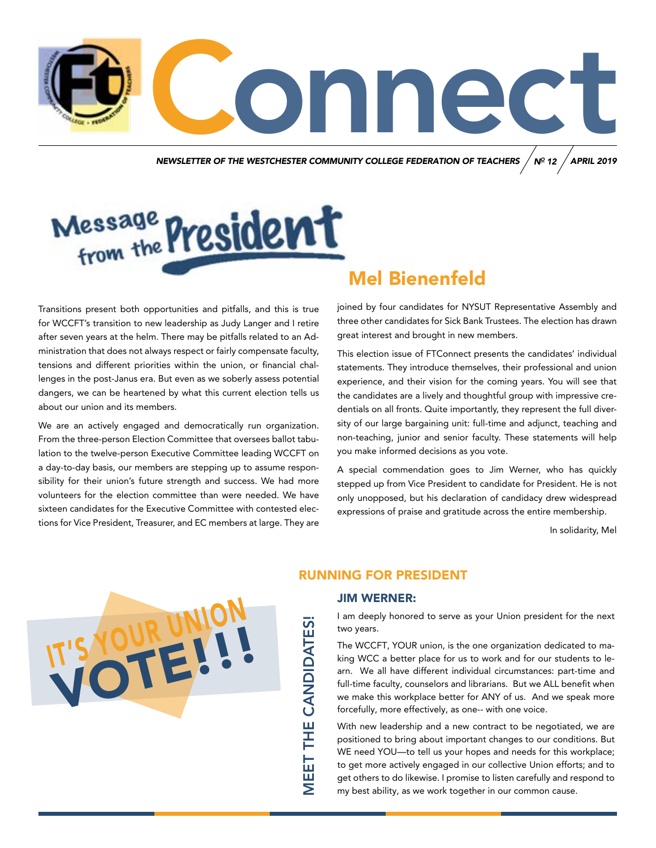MUNITY COLLEGE FEDERATION OF TEACHERS / Nº 12 / APRIL 2019 *NEWSLETTER OF THE WESTCHESTER COMMUNITY COLLEGE FEDERATION OF TEACHERS N APRIL 2019 O 12*

# Message President

Transitions present both opportunities and pitfalls, and this is true for WCCFT's transition to new leadership as Judy Langer and I retire after seven years at the helm. There may be pitfalls related to an Administration that does not always respect or fairly compensate faculty, tensions and different priorities within the union, or financial challenges in the post-Janus era. But even as we soberly assess potential dangers, we can be heartened by what this current election tells us about our union and its members.

We are an actively engaged and democratically run organization. From the three-person Election Committee that oversees ballot tabulation to the twelve-person Executive Committee leading WCCFT on a day-to-day basis, our members are stepping up to assume responsibility for their union's future strength and success. We had more volunteers for the election committee than were needed. We have sixteen candidates for the Executive Committee with contested elections for Vice President, Treasurer, and EC members at large. They are

### Mel Bienenfeld

joined by four candidates for NYSUT Representative Assembly and three other candidates for Sick Bank Trustees. The election has drawn great interest and brought in new members.

This election issue of FTConnect presents the candidates' individual statements. They introduce themselves, their professional and union experience, and their vision for the coming years. You will see that the candidates are a lively and thoughtful group with impressive credentials on all fronts. Quite importantly, they represent the full diversity of our large bargaining unit: full-time and adjunct, teaching and non-teaching, junior and senior faculty. These statements will help you make informed decisions as you vote.

A special commendation goes to Jim Werner, who has quickly stepped up from Vice President to candidate for President. He is not only unopposed, but his declaration of candidacy drew widespread expressions of praise and gratitude across the entire membership.

In solidarity, Mel



#### RUNNING FOR PRESIDENT

#### JIM WERNER:

MEET THE CANDIDATES!

**MEET THE CANDIDATES!** 

I am deeply honored to serve as your Union president for the next two years.

The WCCFT, YOUR union, is the one organization dedicated to making WCC a better place for us to work and for our students to learn. We all have different individual circumstances: part-time and full-time faculty, counselors and librarians. But we ALL benefit when we make this workplace better for ANY of us. And we speak more forcefully, more effectively, as one-- with one voice.

With new leadership and a new contract to be negotiated, we are positioned to bring about important changes to our conditions. But WE need YOU—to tell us your hopes and needs for this workplace; to get more actively engaged in our collective Union efforts; and to get others to do likewise. I promise to listen carefully and respond to my best ability, as we work together in our common cause.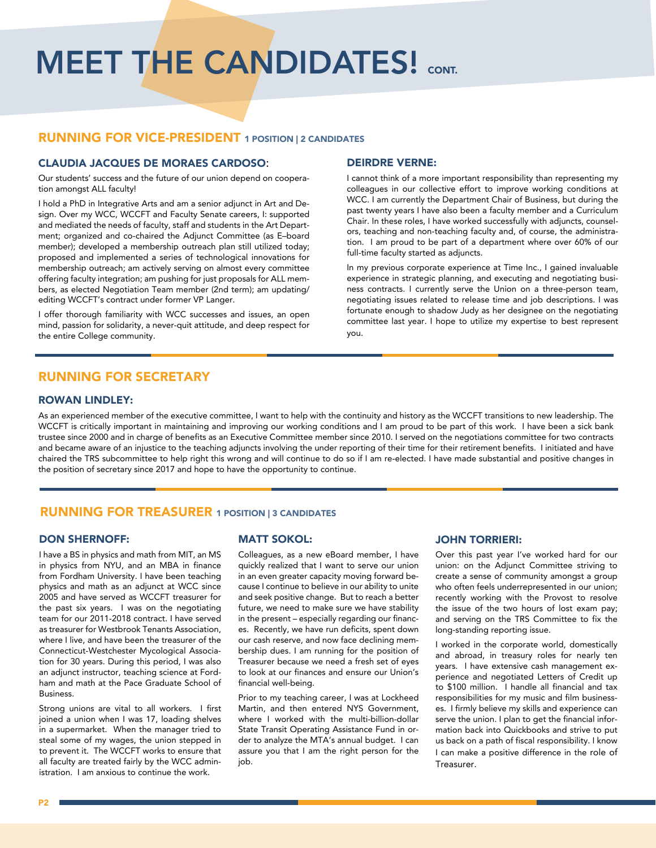# **MEET THE CANDIDATES! CONT.**

#### RUNNING FOR VICE-PRESIDENT 1 POSITION | 2 CANDIDATES

#### CLAUDIA JACQUES DE MORAES CARDOSO:

Our students' success and the future of our union depend on cooperation amongst ALL faculty!

I hold a PhD in Integrative Arts and am a senior adjunct in Art and Design. Over my WCC, WCCFT and Faculty Senate careers, I: supported and mediated the needs of faculty, staff and students in the Art Department; organized and co-chaired the Adjunct Committee (as E–board member); developed a membership outreach plan still utilized today; proposed and implemented a series of technological innovations for membership outreach; am actively serving on almost every committee offering faculty integration; am pushing for just proposals for ALL members, as elected Negotiation Team member (2nd term); am updating/ editing WCCFT's contract under former VP Langer.

I offer thorough familiarity with WCC successes and issues, an open mind, passion for solidarity, a never-quit attitude, and deep respect for the entire College community.

#### RUNNING FOR SECRETARY

#### ROWAN LINDLEY:

As an experienced member of the executive committee, I want to help with the continuity and history as the WCCFT transitions to new leadership. The WCCFT is critically important in maintaining and improving our working conditions and I am proud to be part of this work. I have been a sick bank trustee since 2000 and in charge of benefits as an Executive Committee member since 2010. I served on the negotiations committee for two contracts and became aware of an injustice to the teaching adjuncts involving the under reporting of their time for their retirement benefits. I initiated and have chaired the TRS subcommittee to help right this wrong and will continue to do so if I am re-elected. I have made substantial and positive changes in the position of secretary since 2017 and hope to have the opportunity to continue.

#### RUNNING FOR TREASURER 1 POSITION | 3 CANDIDATES

#### DON SHERNOFF:

I have a BS in physics and math from MIT, an MS in physics from NYU, and an MBA in finance from Fordham University. I have been teaching physics and math as an adjunct at WCC since 2005 and have served as WCCFT treasurer for the past six years. I was on the negotiating team for our 2011-2018 contract. I have served as treasurer for Westbrook Tenants Association, where I live, and have been the treasurer of the Connecticut-Westchester Mycological Association for 30 years. During this period, I was also an adjunct instructor, teaching science at Fordham and math at the Pace Graduate School of Business.

Strong unions are vital to all workers. I first joined a union when I was 17, loading shelves in a supermarket. When the manager tried to steal some of my wages, the union stepped in to prevent it. The WCCFT works to ensure that all faculty are treated fairly by the WCC administration. I am anxious to continue the work.

#### MATT SOKOL:

Colleagues, as a new eBoard member, I have quickly realized that I want to serve our union in an even greater capacity moving forward because I continue to believe in our ability to unite and seek positive change. But to reach a better future, we need to make sure we have stability in the present – especially regarding our finances. Recently, we have run deficits, spent down our cash reserve, and now face declining membership dues. I am running for the position of Treasurer because we need a fresh set of eyes to look at our finances and ensure our Union's financial well-being.

Prior to my teaching career, I was at Lockheed Martin, and then entered NYS Government, where I worked with the multi-billion-dollar State Transit Operating Assistance Fund in order to analyze the MTA's annual budget. I can assure you that I am the right person for the job.

#### JOHN TORRIERI:

Over this past year I've worked hard for our union: on the Adjunct Committee striving to create a sense of community amongst a group who often feels underrepresented in our union; recently working with the Provost to resolve the issue of the two hours of lost exam pay; and serving on the TRS Committee to fix the long-standing reporting issue.

I worked in the corporate world, domestically and abroad, in treasury roles for nearly ten years. I have extensive cash management experience and negotiated Letters of Credit up to \$100 million. I handle all financial and tax responsibilities for my music and film businesses. I firmly believe my skills and experience can serve the union. I plan to get the financial information back into Quickbooks and strive to put us back on a path of fiscal responsibility. I know I can make a positive difference in the role of **Treasurer** 

#### DEIRDRE VERNE:

I cannot think of a more important responsibility than representing my colleagues in our collective effort to improve working conditions at WCC. I am currently the Department Chair of Business, but during the past twenty years I have also been a faculty member and a Curriculum Chair. In these roles, I have worked successfully with adjuncts, counselors, teaching and non-teaching faculty and, of course, the administration. I am proud to be part of a department where over 60% of our full-time faculty started as adjuncts.

In my previous corporate experience at Time Inc., I gained invaluable experience in strategic planning, and executing and negotiating business contracts. I currently serve the Union on a three-person team, negotiating issues related to release time and job descriptions. I was fortunate enough to shadow Judy as her designee on the negotiating committee last year. I hope to utilize my expertise to best represent you.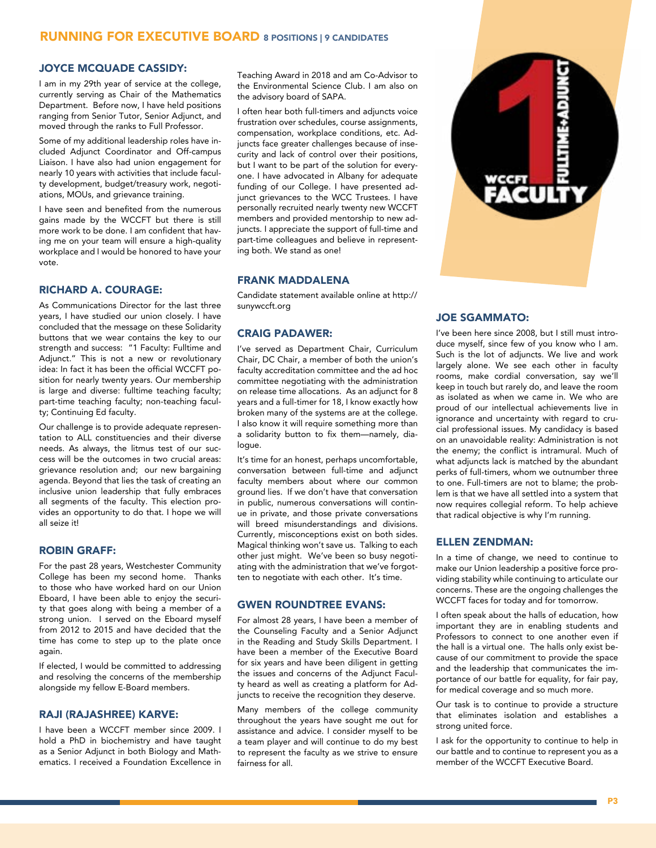#### RUNNING FOR EXECUTIVE BOARD 8 POSITIONS | 9 CANDIDATES

#### JOYCE MCQUADE CASSIDY:

I am in my 29th year of service at the college, currently serving as Chair of the Mathematics Department. Before now, I have held positions ranging from Senior Tutor, Senior Adjunct, and moved through the ranks to Full Professor.

Some of my additional leadership roles have included Adjunct Coordinator and Off-campus Liaison. I have also had union engagement for nearly 10 years with activities that include faculty development, budget/treasury work, negotiations, MOUs, and grievance training.

I have seen and benefited from the numerous gains made by the WCCFT but there is still more work to be done. I am confident that having me on your team will ensure a high-quality workplace and I would be honored to have your vote.

#### RICHARD A. COURAGE:

As Communications Director for the last three years, I have studied our union closely. I have concluded that the message on these Solidarity buttons that we wear contains the key to our strength and success: "1 Faculty: Fulltime and Adjunct." This is not a new or revolutionary idea: In fact it has been the official WCCFT position for nearly twenty years. Our membership is large and diverse: fulltime teaching faculty; part-time teaching faculty; non-teaching faculty; Continuing Ed faculty.

Our challenge is to provide adequate representation to ALL constituencies and their diverse needs. As always, the litmus test of our success will be the outcomes in two crucial areas: grievance resolution and; our new bargaining agenda. Beyond that lies the task of creating an inclusive union leadership that fully embraces all segments of the faculty. This election provides an opportunity to do that. I hope we will all seize it!

#### ROBIN GRAFF:

For the past 28 years, Westchester Community College has been my second home. Thanks to those who have worked hard on our Union Eboard, I have been able to enjoy the security that goes along with being a member of a strong union. I served on the Eboard myself from 2012 to 2015 and have decided that the time has come to step up to the plate once again.

If elected, I would be committed to addressing and resolving the concerns of the membership alongside my fellow E-Board members.

#### RAJI (RAJASHREE) KARVE:

I have been a WCCFT member since 2009. I hold a PhD in biochemistry and have taught as a Senior Adjunct in both Biology and Mathematics. I received a Foundation Excellence in Teaching Award in 2018 and am Co-Advisor to the Environmental Science Club. I am also on the advisory board of SAPA.

I often hear both full-timers and adjuncts voice frustration over schedules, course assignments, compensation, workplace conditions, etc. Adjuncts face greater challenges because of insecurity and lack of control over their positions, but I want to be part of the solution for everyone. I have advocated in Albany for adequate funding of our College. I have presented adjunct grievances to the WCC Trustees. I have personally recruited nearly twenty new WCCFT members and provided mentorship to new adjuncts. I appreciate the support of full-time and part-time colleagues and believe in representing both. We stand as one!

#### FRANK MADDALENA

Candidate statement available online at http:// sunywccft.org

#### CRAIG PADAWER:

I've served as Department Chair, Curriculum Chair, DC Chair, a member of both the union's faculty accreditation committee and the ad hoc committee negotiating with the administration on release time allocations. As an adjunct for 8 years and a full-timer for 18, I know exactly how broken many of the systems are at the college. I also know it will require something more than a solidarity button to fix them—namely, dialogue.

It's time for an honest, perhaps uncomfortable, conversation between full-time and adjunct faculty members about where our common ground lies. If we don't have that conversation in public, numerous conversations will continue in private, and those private conversations will breed misunderstandings and divisions. Currently, misconceptions exist on both sides. Magical thinking won't save us. Talking to each other just might. We've been so busy negotiating with the administration that we've forgotten to negotiate with each other. It's time.

#### GWEN ROUNDTREE EVANS:

For almost 28 years, I have been a member of the Counseling Faculty and a Senior Adjunct in the Reading and Study Skills Department. I have been a member of the Executive Board for six years and have been diligent in getting the issues and concerns of the Adjunct Faculty heard as well as creating a platform for Adjuncts to receive the recognition they deserve.

Many members of the college community throughout the years have sought me out for assistance and advice. I consider myself to be a team player and will continue to do my best to represent the faculty as we strive to ensure fairness for all.



#### JOE SGAMMATO:

I've been here since 2008, but I still must introduce myself, since few of you know who I am. Such is the lot of adjuncts. We live and work largely alone. We see each other in faculty rooms, make cordial conversation, say we'll keep in touch but rarely do, and leave the room as isolated as when we came in. We who are proud of our intellectual achievements live in ignorance and uncertainty with regard to crucial professional issues. My candidacy is based on an unavoidable reality: Administration is not the enemy; the conflict is intramural. Much of what adjuncts lack is matched by the abundant perks of full-timers, whom we outnumber three to one. Full-timers are not to blame; the problem is that we have all settled into a system that now requires collegial reform. To help achieve that radical objective is why I'm running.

#### ELLEN ZENDMAN:

In a time of change, we need to continue to make our Union leadership a positive force providing stability while continuing to articulate our concerns. These are the ongoing challenges the WCCFT faces for today and for tomorrow.

I often speak about the halls of education, how important they are in enabling students and Professors to connect to one another even if the hall is a virtual one. The halls only exist because of our commitment to provide the space and the leadership that communicates the importance of our battle for equality, for fair pay, for medical coverage and so much more.

Our task is to continue to provide a structure that eliminates isolation and establishes a strong united force.

I ask for the opportunity to continue to help in our battle and to continue to represent you as a member of the WCCFT Executive Board.